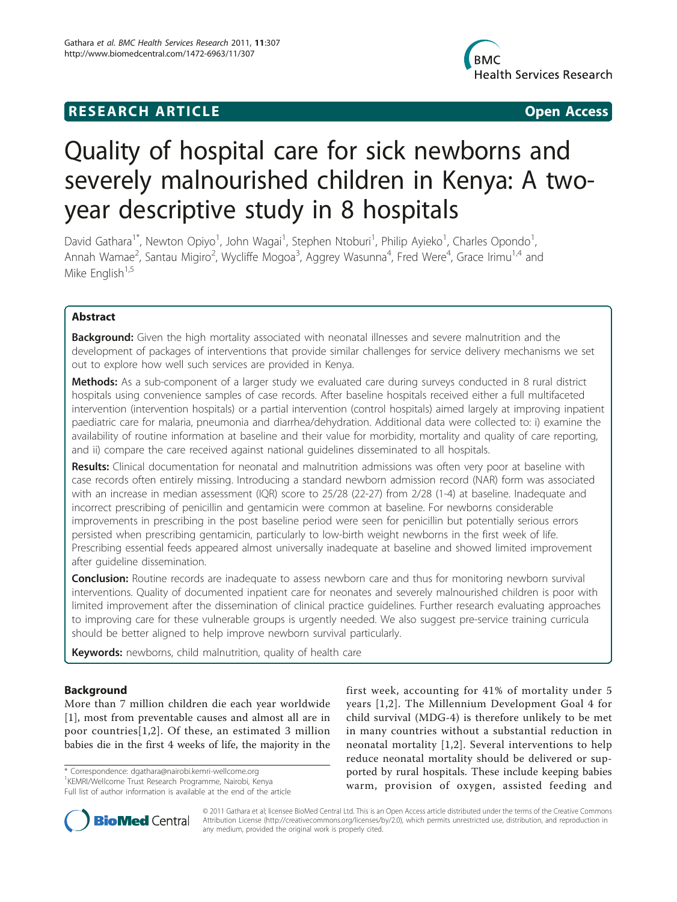# **RESEARCH ARTICLE Example 2018 12:00 Open Access**



# Quality of hospital care for sick newborns and severely malnourished children in Kenya: A twoyear descriptive study in 8 hospitals

David Gathara<sup>1\*</sup>, Newton Opiyo<sup>1</sup>, John Wagai<sup>1</sup>, Stephen Ntoburi<sup>1</sup>, Philip Ayieko<sup>1</sup>, Charles Opondo<sup>1</sup> , Annah Wamae<sup>2</sup>, Santau Migiro<sup>2</sup>, Wycliffe Mogoa<sup>3</sup>, Aggrey Wasunna<sup>4</sup>, Fred Were<sup>4</sup>, Grace Irimu<sup>1,4</sup> and Mike English $1,5$ 

# Abstract

Background: Given the high mortality associated with neonatal illnesses and severe malnutrition and the development of packages of interventions that provide similar challenges for service delivery mechanisms we set out to explore how well such services are provided in Kenya.

Methods: As a sub-component of a larger study we evaluated care during surveys conducted in 8 rural district hospitals using convenience samples of case records. After baseline hospitals received either a full multifaceted intervention (intervention hospitals) or a partial intervention (control hospitals) aimed largely at improving inpatient paediatric care for malaria, pneumonia and diarrhea/dehydration. Additional data were collected to: i) examine the availability of routine information at baseline and their value for morbidity, mortality and quality of care reporting, and ii) compare the care received against national guidelines disseminated to all hospitals.

Results: Clinical documentation for neonatal and malnutrition admissions was often very poor at baseline with case records often entirely missing. Introducing a standard newborn admission record (NAR) form was associated with an increase in median assessment (IQR) score to 25/28 (22-27) from 2/28 (1-4) at baseline. Inadequate and incorrect prescribing of penicillin and gentamicin were common at baseline. For newborns considerable improvements in prescribing in the post baseline period were seen for penicillin but potentially serious errors persisted when prescribing gentamicin, particularly to low-birth weight newborns in the first week of life. Prescribing essential feeds appeared almost universally inadequate at baseline and showed limited improvement after guideline dissemination.

**Conclusion:** Routine records are inadequate to assess newborn care and thus for monitoring newborn survival interventions. Quality of documented inpatient care for neonates and severely malnourished children is poor with limited improvement after the dissemination of clinical practice guidelines. Further research evaluating approaches to improving care for these vulnerable groups is urgently needed. We also suggest pre-service training curricula should be better aligned to help improve newborn survival particularly.

Keywords: newborns, child malnutrition, quality of health care

# Background

More than 7 million children die each year worldwide [[1\]](#page-5-0), most from preventable causes and almost all are in poor countries[[1](#page-5-0),[2\]](#page-5-0). Of these, an estimated 3 million babies die in the first 4 weeks of life, the majority in the

\* Correspondence: [dgathara@nairobi.kemri-wellcome.org](mailto:dgathara@nairobi.kemri-wellcome.org)

Full list of author information is available at the end of the article

first week, accounting for 41% of mortality under 5 years [[1](#page-5-0),[2\]](#page-5-0). The Millennium Development Goal 4 for child survival (MDG-4) is therefore unlikely to be met in many countries without a substantial reduction in neonatal mortality [\[1,2](#page-5-0)]. Several interventions to help reduce neonatal mortality should be delivered or supported by rural hospitals. These include keeping babies warm, provision of oxygen, assisted feeding and



© 2011 Gathara et al; licensee BioMed Central Ltd. This is an Open Access article distributed under the terms of the Creative Commons Attribution License [\(http://creativecommons.org/licenses/by/2.0](http://creativecommons.org/licenses/by/2.0)), which permits unrestricted use, distribution, and reproduction in any medium, provided the original work is properly cited.

<sup>&</sup>lt;sup>1</sup>KEMRI/Wellcome Trust Research Programme, Nairobi, Kenya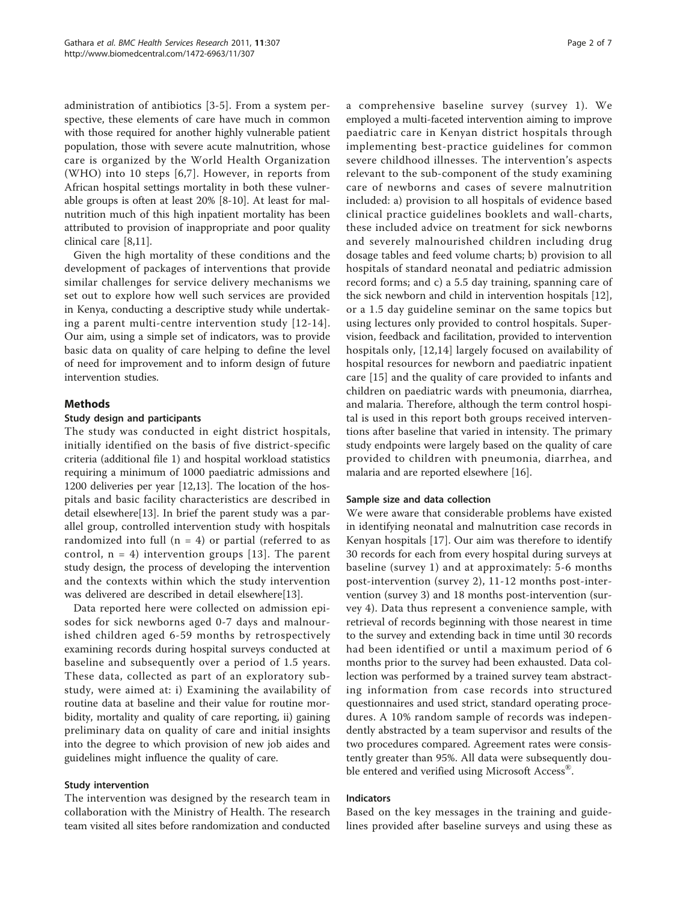administration of antibiotics [\[3](#page-5-0)-[5](#page-5-0)]. From a system perspective, these elements of care have much in common with those required for another highly vulnerable patient population, those with severe acute malnutrition, whose care is organized by the World Health Organization (WHO) into 10 steps [[6,7](#page-5-0)]. However, in reports from African hospital settings mortality in both these vulnerable groups is often at least 20% [[8-10\]](#page-5-0). At least for malnutrition much of this high inpatient mortality has been attributed to provision of inappropriate and poor quality clinical care [[8,11\]](#page-5-0).

Given the high mortality of these conditions and the development of packages of interventions that provide similar challenges for service delivery mechanisms we set out to explore how well such services are provided in Kenya, conducting a descriptive study while undertaking a parent multi-centre intervention study [[12-](#page-5-0)[14\]](#page-6-0). Our aim, using a simple set of indicators, was to provide basic data on quality of care helping to define the level of need for improvement and to inform design of future intervention studies.

# Methods

#### Study design and participants

The study was conducted in eight district hospitals, initially identified on the basis of five district-specific criteria (additional file [1\)](#page-5-0) and hospital workload statistics requiring a minimum of 1000 paediatric admissions and 1200 deliveries per year [\[12,13\]](#page-5-0). The location of the hospitals and basic facility characteristics are described in detail elsewhere[[13\]](#page-5-0). In brief the parent study was a parallel group, controlled intervention study with hospitals randomized into full  $(n = 4)$  or partial (referred to as control,  $n = 4$ ) intervention groups [[13\]](#page-5-0). The parent study design, the process of developing the intervention and the contexts within which the study intervention was delivered are described in detail elsewhere[[13](#page-5-0)].

Data reported here were collected on admission episodes for sick newborns aged 0-7 days and malnourished children aged 6-59 months by retrospectively examining records during hospital surveys conducted at baseline and subsequently over a period of 1.5 years. These data, collected as part of an exploratory substudy, were aimed at: i) Examining the availability of routine data at baseline and their value for routine morbidity, mortality and quality of care reporting, ii) gaining preliminary data on quality of care and initial insights into the degree to which provision of new job aides and guidelines might influence the quality of care.

#### Study intervention

The intervention was designed by the research team in collaboration with the Ministry of Health. The research team visited all sites before randomization and conducted a comprehensive baseline survey (survey 1). We employed a multi-faceted intervention aiming to improve paediatric care in Kenyan district hospitals through implementing best-practice guidelines for common severe childhood illnesses. The intervention's aspects relevant to the sub-component of the study examining care of newborns and cases of severe malnutrition included: a) provision to all hospitals of evidence based clinical practice guidelines booklets and wall-charts, these included advice on treatment for sick newborns and severely malnourished children including drug dosage tables and feed volume charts; b) provision to all hospitals of standard neonatal and pediatric admission record forms; and c) a 5.5 day training, spanning care of the sick newborn and child in intervention hospitals [\[12](#page-5-0)], or a 1.5 day guideline seminar on the same topics but using lectures only provided to control hospitals. Supervision, feedback and facilitation, provided to intervention hospitals only, [\[12,](#page-5-0)[14](#page-6-0)] largely focused on availability of hospital resources for newborn and paediatric inpatient care [\[15](#page-6-0)] and the quality of care provided to infants and children on paediatric wards with pneumonia, diarrhea, and malaria. Therefore, although the term control hospital is used in this report both groups received interventions after baseline that varied in intensity. The primary study endpoints were largely based on the quality of care provided to children with pneumonia, diarrhea, and malaria and are reported elsewhere [\[16\]](#page-6-0).

#### Sample size and data collection

We were aware that considerable problems have existed in identifying neonatal and malnutrition case records in Kenyan hospitals [\[17](#page-6-0)]. Our aim was therefore to identify 30 records for each from every hospital during surveys at baseline (survey 1) and at approximately: 5-6 months post-intervention (survey 2), 11-12 months post-intervention (survey 3) and 18 months post-intervention (survey 4). Data thus represent a convenience sample, with retrieval of records beginning with those nearest in time to the survey and extending back in time until 30 records had been identified or until a maximum period of 6 months prior to the survey had been exhausted. Data collection was performed by a trained survey team abstracting information from case records into structured questionnaires and used strict, standard operating procedures. A 10% random sample of records was independently abstracted by a team supervisor and results of the two procedures compared. Agreement rates were consistently greater than 95%. All data were subsequently double entered and verified using Microsoft Access<sup>®</sup>.

#### Indicators

Based on the key messages in the training and guidelines provided after baseline surveys and using these as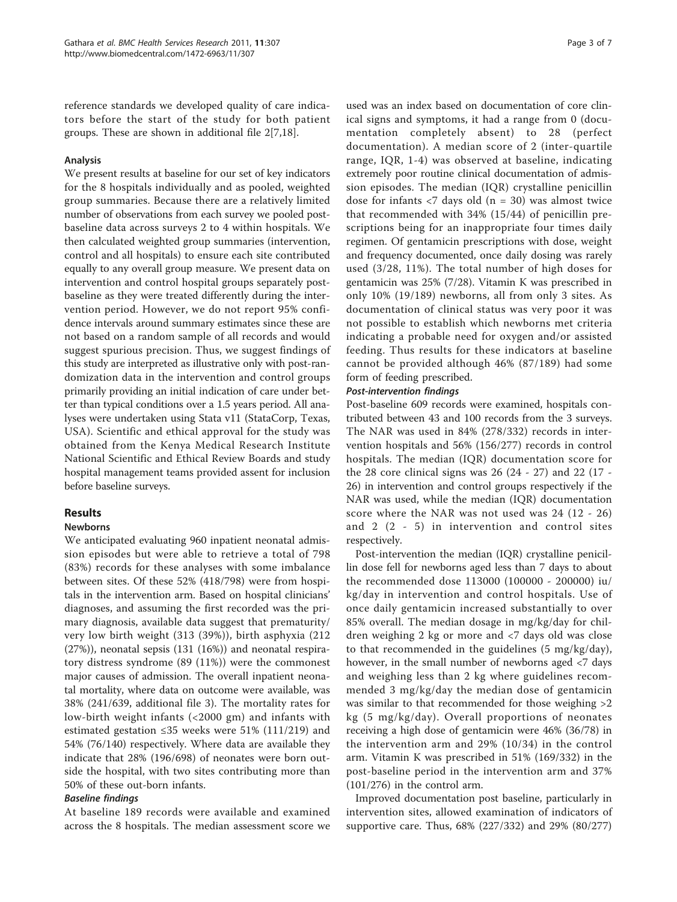reference standards we developed quality of care indicators before the start of the study for both patient groups. These are shown in additional file [2\[7,](#page-5-0)[18\]](#page-6-0).

# Analysis

We present results at baseline for our set of key indicators for the 8 hospitals individually and as pooled, weighted group summaries. Because there are a relatively limited number of observations from each survey we pooled postbaseline data across surveys 2 to 4 within hospitals. We then calculated weighted group summaries (intervention, control and all hospitals) to ensure each site contributed equally to any overall group measure. We present data on intervention and control hospital groups separately postbaseline as they were treated differently during the intervention period. However, we do not report 95% confidence intervals around summary estimates since these are not based on a random sample of all records and would suggest spurious precision. Thus, we suggest findings of this study are interpreted as illustrative only with post-randomization data in the intervention and control groups primarily providing an initial indication of care under better than typical conditions over a 1.5 years period. All analyses were undertaken using Stata v11 (StataCorp, Texas, USA). Scientific and ethical approval for the study was obtained from the Kenya Medical Research Institute National Scientific and Ethical Review Boards and study hospital management teams provided assent for inclusion before baseline surveys.

# Results

# Newborns

We anticipated evaluating 960 inpatient neonatal admission episodes but were able to retrieve a total of 798 (83%) records for these analyses with some imbalance between sites. Of these 52% (418/798) were from hospitals in the intervention arm. Based on hospital clinicians' diagnoses, and assuming the first recorded was the primary diagnosis, available data suggest that prematurity/ very low birth weight (313 (39%)), birth asphyxia (212 (27%)), neonatal sepsis (131 (16%)) and neonatal respiratory distress syndrome (89 (11%)) were the commonest major causes of admission. The overall inpatient neonatal mortality, where data on outcome were available, was 38% (241/639, additional file [3](#page-5-0)). The mortality rates for low-birth weight infants (<2000 gm) and infants with estimated gestation ≤35 weeks were 51% (111/219) and 54% (76/140) respectively. Where data are available they indicate that 28% (196/698) of neonates were born outside the hospital, with two sites contributing more than 50% of these out-born infants.

# Baseline findings

At baseline 189 records were available and examined across the 8 hospitals. The median assessment score we

used was an index based on documentation of core clinical signs and symptoms, it had a range from 0 (documentation completely absent) to 28 (perfect documentation). A median score of 2 (inter-quartile range, IQR, 1-4) was observed at baseline, indicating extremely poor routine clinical documentation of admission episodes. The median (IQR) crystalline penicillin dose for infants  $\langle 7 \rangle$  days old (n = 30) was almost twice that recommended with 34% (15/44) of penicillin prescriptions being for an inappropriate four times daily regimen. Of gentamicin prescriptions with dose, weight and frequency documented, once daily dosing was rarely used (3/28, 11%). The total number of high doses for gentamicin was 25% (7/28). Vitamin K was prescribed in only 10% (19/189) newborns, all from only 3 sites. As documentation of clinical status was very poor it was not possible to establish which newborns met criteria indicating a probable need for oxygen and/or assisted feeding. Thus results for these indicators at baseline cannot be provided although 46% (87/189) had some form of feeding prescribed.

# Post-intervention findings

Post-baseline 609 records were examined, hospitals contributed between 43 and 100 records from the 3 surveys. The NAR was used in 84% (278/332) records in intervention hospitals and 56% (156/277) records in control hospitals. The median (IQR) documentation score for the 28 core clinical signs was 26 (24 - 27) and 22 (17 - 26) in intervention and control groups respectively if the NAR was used, while the median (IQR) documentation score where the NAR was not used was 24 (12 - 26) and 2 (2 - 5) in intervention and control sites respectively.

Post-intervention the median (IQR) crystalline penicillin dose fell for newborns aged less than 7 days to about the recommended dose 113000 (100000 - 200000) iu/ kg/day in intervention and control hospitals. Use of once daily gentamicin increased substantially to over 85% overall. The median dosage in mg/kg/day for children weighing 2 kg or more and <7 days old was close to that recommended in the guidelines (5 mg/kg/day), however, in the small number of newborns aged <7 days and weighing less than 2 kg where guidelines recommended 3 mg/kg/day the median dose of gentamicin was similar to that recommended for those weighing >2 kg (5 mg/kg/day). Overall proportions of neonates receiving a high dose of gentamicin were 46% (36/78) in the intervention arm and 29% (10/34) in the control arm. Vitamin K was prescribed in 51% (169/332) in the post-baseline period in the intervention arm and 37% (101/276) in the control arm.

Improved documentation post baseline, particularly in intervention sites, allowed examination of indicators of supportive care. Thus, 68% (227/332) and 29% (80/277)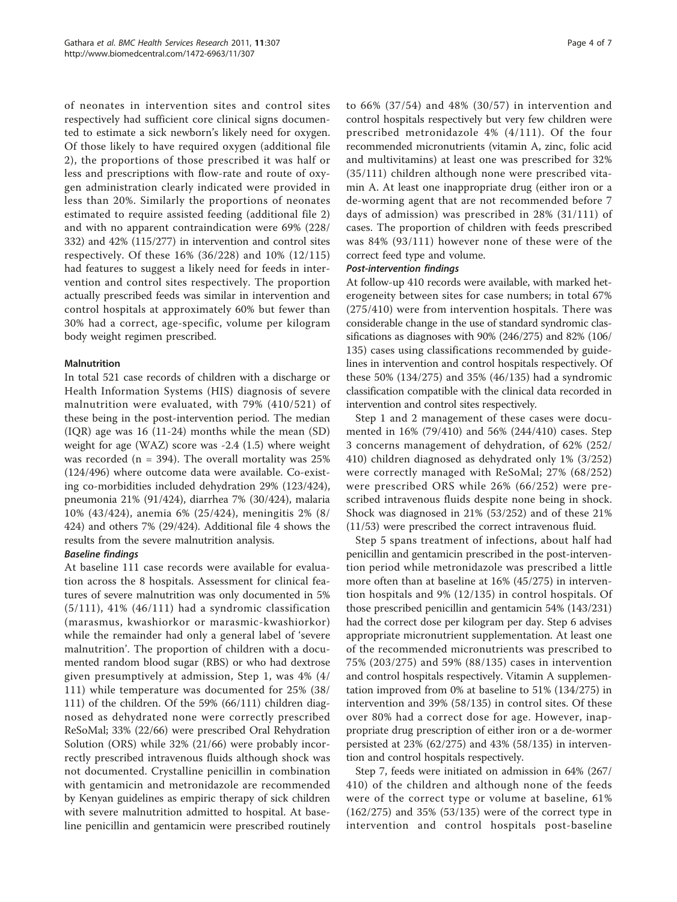of neonates in intervention sites and control sites respectively had sufficient core clinical signs documented to estimate a sick newborn's likely need for oxygen. Of those likely to have required oxygen (additional file [2\)](#page-5-0), the proportions of those prescribed it was half or less and prescriptions with flow-rate and route of oxygen administration clearly indicated were provided in less than 20%. Similarly the proportions of neonates estimated to require assisted feeding (additional file [2](#page-5-0)) and with no apparent contraindication were 69% (228/ 332) and 42% (115/277) in intervention and control sites respectively. Of these 16% (36/228) and 10% (12/115) had features to suggest a likely need for feeds in intervention and control sites respectively. The proportion actually prescribed feeds was similar in intervention and control hospitals at approximately 60% but fewer than 30% had a correct, age-specific, volume per kilogram body weight regimen prescribed.

# Malnutrition

In total 521 case records of children with a discharge or Health Information Systems (HIS) diagnosis of severe malnutrition were evaluated, with 79% (410/521) of these being in the post-intervention period. The median (IQR) age was 16 (11-24) months while the mean (SD) weight for age (WAZ) score was -2.4 (1.5) where weight was recorded ( $n = 394$ ). The overall mortality was 25% (124/496) where outcome data were available. Co-existing co-morbidities included dehydration 29% (123/424), pneumonia 21% (91/424), diarrhea 7% (30/424), malaria 10% (43/424), anemia 6% (25/424), meningitis 2% (8/ 424) and others 7% (29/424). Additional file [4](#page-5-0) shows the results from the severe malnutrition analysis.

#### Baseline findings

At baseline 111 case records were available for evaluation across the 8 hospitals. Assessment for clinical features of severe malnutrition was only documented in 5% (5/111), 41% (46/111) had a syndromic classification (marasmus, kwashiorkor or marasmic-kwashiorkor) while the remainder had only a general label of 'severe malnutrition'. The proportion of children with a documented random blood sugar (RBS) or who had dextrose given presumptively at admission, Step 1, was 4% (4/ 111) while temperature was documented for 25% (38/ 111) of the children. Of the 59% (66/111) children diagnosed as dehydrated none were correctly prescribed ReSoMal; 33% (22/66) were prescribed Oral Rehydration Solution (ORS) while 32% (21/66) were probably incorrectly prescribed intravenous fluids although shock was not documented. Crystalline penicillin in combination with gentamicin and metronidazole are recommended by Kenyan guidelines as empiric therapy of sick children with severe malnutrition admitted to hospital. At baseline penicillin and gentamicin were prescribed routinely

to 66% (37/54) and 48% (30/57) in intervention and control hospitals respectively but very few children were prescribed metronidazole 4% (4/111). Of the four recommended micronutrients (vitamin A, zinc, folic acid and multivitamins) at least one was prescribed for 32% (35/111) children although none were prescribed vitamin A. At least one inappropriate drug (either iron or a de-worming agent that are not recommended before 7 days of admission) was prescribed in 28% (31/111) of cases. The proportion of children with feeds prescribed was 84% (93/111) however none of these were of the correct feed type and volume.

#### Post-intervention findings

At follow-up 410 records were available, with marked heterogeneity between sites for case numbers; in total 67% (275/410) were from intervention hospitals. There was considerable change in the use of standard syndromic classifications as diagnoses with 90% (246/275) and 82% (106/ 135) cases using classifications recommended by guidelines in intervention and control hospitals respectively. Of these 50% (134/275) and 35% (46/135) had a syndromic classification compatible with the clinical data recorded in intervention and control sites respectively.

Step 1 and 2 management of these cases were documented in 16% (79/410) and 56% (244/410) cases. Step 3 concerns management of dehydration, of 62% (252/ 410) children diagnosed as dehydrated only 1% (3/252) were correctly managed with ReSoMal; 27% (68/252) were prescribed ORS while 26% (66/252) were prescribed intravenous fluids despite none being in shock. Shock was diagnosed in 21% (53/252) and of these 21% (11/53) were prescribed the correct intravenous fluid.

Step 5 spans treatment of infections, about half had penicillin and gentamicin prescribed in the post-intervention period while metronidazole was prescribed a little more often than at baseline at 16% (45/275) in intervention hospitals and 9% (12/135) in control hospitals. Of those prescribed penicillin and gentamicin 54% (143/231) had the correct dose per kilogram per day. Step 6 advises appropriate micronutrient supplementation. At least one of the recommended micronutrients was prescribed to 75% (203/275) and 59% (88/135) cases in intervention and control hospitals respectively. Vitamin A supplementation improved from 0% at baseline to 51% (134/275) in intervention and 39% (58/135) in control sites. Of these over 80% had a correct dose for age. However, inappropriate drug prescription of either iron or a de-wormer persisted at 23% (62/275) and 43% (58/135) in intervention and control hospitals respectively.

Step 7, feeds were initiated on admission in 64% (267/ 410) of the children and although none of the feeds were of the correct type or volume at baseline, 61% (162/275) and 35% (53/135) were of the correct type in intervention and control hospitals post-baseline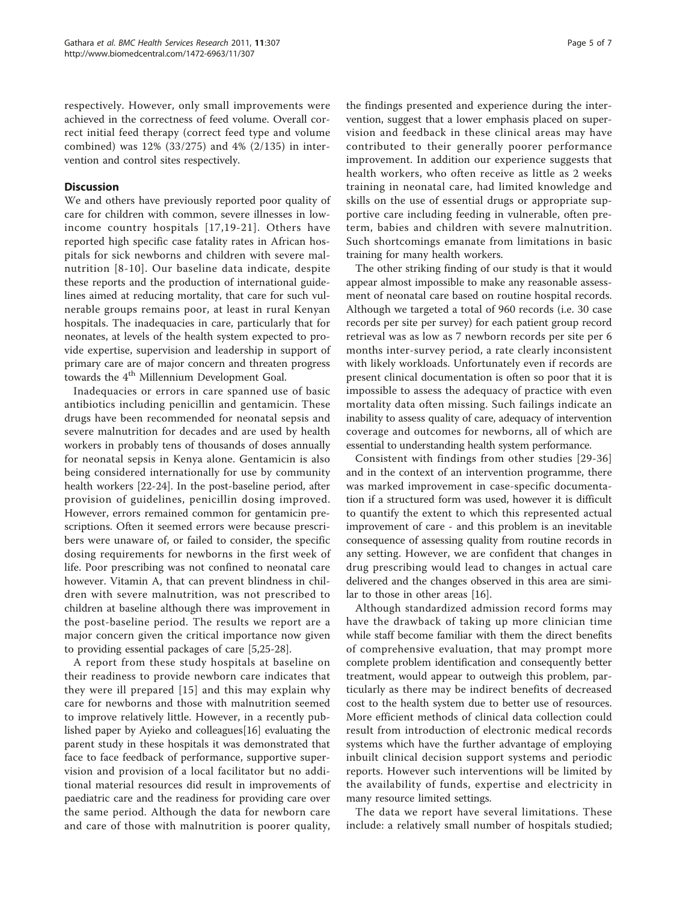respectively. However, only small improvements were achieved in the correctness of feed volume. Overall correct initial feed therapy (correct feed type and volume combined) was 12% (33/275) and 4% (2/135) in intervention and control sites respectively.

#### **Discussion**

We and others have previously reported poor quality of care for children with common, severe illnesses in lowincome country hospitals [[17,19](#page-6-0)-[21\]](#page-6-0). Others have reported high specific case fatality rates in African hospitals for sick newborns and children with severe malnutrition [[8](#page-5-0)-[10](#page-5-0)]. Our baseline data indicate, despite these reports and the production of international guidelines aimed at reducing mortality, that care for such vulnerable groups remains poor, at least in rural Kenyan hospitals. The inadequacies in care, particularly that for neonates, at levels of the health system expected to provide expertise, supervision and leadership in support of primary care are of major concern and threaten progress towards the 4<sup>th</sup> Millennium Development Goal.

Inadequacies or errors in care spanned use of basic antibiotics including penicillin and gentamicin. These drugs have been recommended for neonatal sepsis and severe malnutrition for decades and are used by health workers in probably tens of thousands of doses annually for neonatal sepsis in Kenya alone. Gentamicin is also being considered internationally for use by community health workers [[22-24\]](#page-6-0). In the post-baseline period, after provision of guidelines, penicillin dosing improved. However, errors remained common for gentamicin prescriptions. Often it seemed errors were because prescribers were unaware of, or failed to consider, the specific dosing requirements for newborns in the first week of life. Poor prescribing was not confined to neonatal care however. Vitamin A, that can prevent blindness in children with severe malnutrition, was not prescribed to children at baseline although there was improvement in the post-baseline period. The results we report are a major concern given the critical importance now given to providing essential packages of care [\[5](#page-5-0)[,25](#page-6-0)-[28](#page-6-0)].

A report from these study hospitals at baseline on their readiness to provide newborn care indicates that they were ill prepared [\[15\]](#page-6-0) and this may explain why care for newborns and those with malnutrition seemed to improve relatively little. However, in a recently published paper by Ayieko and colleagues[[16\]](#page-6-0) evaluating the parent study in these hospitals it was demonstrated that face to face feedback of performance, supportive supervision and provision of a local facilitator but no additional material resources did result in improvements of paediatric care and the readiness for providing care over the same period. Although the data for newborn care and care of those with malnutrition is poorer quality,

the findings presented and experience during the intervention, suggest that a lower emphasis placed on supervision and feedback in these clinical areas may have contributed to their generally poorer performance improvement. In addition our experience suggests that health workers, who often receive as little as 2 weeks training in neonatal care, had limited knowledge and skills on the use of essential drugs or appropriate supportive care including feeding in vulnerable, often preterm, babies and children with severe malnutrition. Such shortcomings emanate from limitations in basic training for many health workers.

The other striking finding of our study is that it would appear almost impossible to make any reasonable assessment of neonatal care based on routine hospital records. Although we targeted a total of 960 records (i.e. 30 case records per site per survey) for each patient group record retrieval was as low as 7 newborn records per site per 6 months inter-survey period, a rate clearly inconsistent with likely workloads. Unfortunately even if records are present clinical documentation is often so poor that it is impossible to assess the adequacy of practice with even mortality data often missing. Such failings indicate an inability to assess quality of care, adequacy of intervention coverage and outcomes for newborns, all of which are essential to understanding health system performance.

Consistent with findings from other studies [[29](#page-6-0)-[36](#page-6-0)] and in the context of an intervention programme, there was marked improvement in case-specific documentation if a structured form was used, however it is difficult to quantify the extent to which this represented actual improvement of care - and this problem is an inevitable consequence of assessing quality from routine records in any setting. However, we are confident that changes in drug prescribing would lead to changes in actual care delivered and the changes observed in this area are similar to those in other areas [[16\]](#page-6-0).

Although standardized admission record forms may have the drawback of taking up more clinician time while staff become familiar with them the direct benefits of comprehensive evaluation, that may prompt more complete problem identification and consequently better treatment, would appear to outweigh this problem, particularly as there may be indirect benefits of decreased cost to the health system due to better use of resources. More efficient methods of clinical data collection could result from introduction of electronic medical records systems which have the further advantage of employing inbuilt clinical decision support systems and periodic reports. However such interventions will be limited by the availability of funds, expertise and electricity in many resource limited settings.

The data we report have several limitations. These include: a relatively small number of hospitals studied;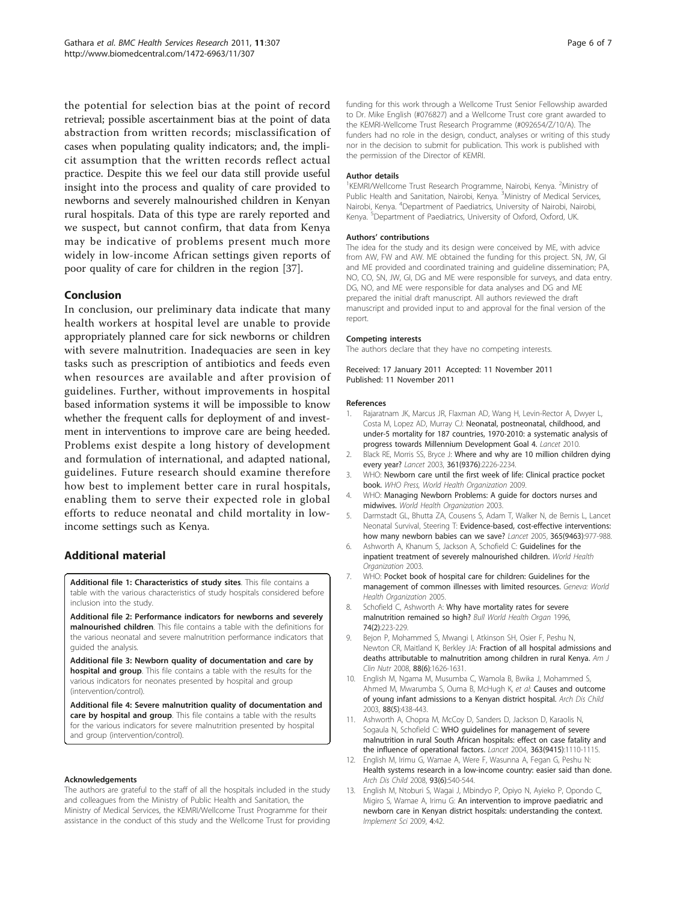<span id="page-5-0"></span>the potential for selection bias at the point of record retrieval; possible ascertainment bias at the point of data abstraction from written records; misclassification of cases when populating quality indicators; and, the implicit assumption that the written records reflect actual practice. Despite this we feel our data still provide useful insight into the process and quality of care provided to newborns and severely malnourished children in Kenyan rural hospitals. Data of this type are rarely reported and we suspect, but cannot confirm, that data from Kenya may be indicative of problems present much more widely in low-income African settings given reports of poor quality of care for children in the region [[37](#page-6-0)].

#### Conclusion

In conclusion, our preliminary data indicate that many health workers at hospital level are unable to provide appropriately planned care for sick newborns or children with severe malnutrition. Inadequacies are seen in key tasks such as prescription of antibiotics and feeds even when resources are available and after provision of guidelines. Further, without improvements in hospital based information systems it will be impossible to know whether the frequent calls for deployment of and investment in interventions to improve care are being heeded. Problems exist despite a long history of development and formulation of international, and adapted national, guidelines. Future research should examine therefore how best to implement better care in rural hospitals, enabling them to serve their expected role in global efforts to reduce neonatal and child mortality in lowincome settings such as Kenya.

# Additional material

[Additional file 1: C](http://www.biomedcentral.com/content/supplementary/1472-6963-11-307-S1.DOC)haracteristics of study sites. This file contains a table with the various characteristics of study hospitals considered before inclusion into the study.

[Additional file 2: P](http://www.biomedcentral.com/content/supplementary/1472-6963-11-307-S2.DOC)erformance indicators for newborns and severely malnourished children. This file contains a table with the definitions for the various neonatal and severe malnutrition performance indicators that guided the analysis.

[Additional file 3: N](http://www.biomedcentral.com/content/supplementary/1472-6963-11-307-S3.DOC)ewborn quality of documentation and care by **hospital and group**. This file contains a table with the results for the various indicators for neonates presented by hospital and group (intervention/control).

[Additional file 4: S](http://www.biomedcentral.com/content/supplementary/1472-6963-11-307-S4.DOC)evere malnutrition quality of documentation and care by hospital and group. This file contains a table with the results for the various indicators for severe malnutrition presented by hospital and group (intervention/control).

#### Acknowledgements

The authors are grateful to the staff of all the hospitals included in the study and colleagues from the Ministry of Public Health and Sanitation, the Ministry of Medical Services, the KEMRI/Wellcome Trust Programme for their assistance in the conduct of this study and the Wellcome Trust for providing funding for this work through a Wellcome Trust Senior Fellowship awarded to Dr. Mike English (#076827) and a Wellcome Trust core grant awarded to the KEMRI-Wellcome Trust Research Programme (#092654/Z/10/A). The funders had no role in the design, conduct, analyses or writing of this study nor in the decision to submit for publication. This work is published with the permission of the Director of KEMRI.

#### Author details

<sup>1</sup>KEMRI/Wellcome Trust Research Programme, Nairobi, Kenya. <sup>2</sup>Ministry of Public Health and Sanitation, Nairobi, Kenya. <sup>3</sup>Ministry of Medical Services Nairobi, Kenya. <sup>4</sup>Department of Paediatrics, University of Nairobi, Nairobi, Kenya. <sup>5</sup>Department of Paediatrics, University of Oxford, Oxford, UK

#### Authors' contributions

The idea for the study and its design were conceived by ME, with advice from AW, FW and AW. ME obtained the funding for this project. SN, JW, GI and ME provided and coordinated training and guideline dissemination; PA, NO, CO, SN, JW, GI, DG and ME were responsible for surveys, and data entry. DG, NO, and ME were responsible for data analyses and DG and ME prepared the initial draft manuscript. All authors reviewed the draft manuscript and provided input to and approval for the final version of the report.

#### Competing interests

The authors declare that they have no competing interests.

Received: 17 January 2011 Accepted: 11 November 2011 Published: 11 November 2011

#### References

- Rajaratnam JK, Marcus JR, Flaxman AD, Wang H, Levin-Rector A, Dwyer L, Costa M, Lopez AD, Murray CJ: Neonatal, postneonatal, childhood, and under-5 mortality for 187 countries, 1970-2010: a systematic analysis of progress towards Millennium Development Goal 4. Lancet 2010.
- 2. Black RE, Morris SS, Bryce J: [Where and why are 10 million children dying](http://www.ncbi.nlm.nih.gov/pubmed/12842379?dopt=Abstract) [every year?](http://www.ncbi.nlm.nih.gov/pubmed/12842379?dopt=Abstract) Lancet 2003, 361(9376):2226-2234.
- WHO: Newborn care until the first week of life: Clinical practice pocket book. WHO Press, World Health Organization 2009.
- 4. WHO: Managing Newborn Problems: A guide for doctors nurses and midwives. World Health Organization 2003.
- 5. Darmstadt GL, Bhutta ZA, Cousens S, Adam T, Walker N, de Bernis L, Lancet Neonatal Survival, Steering T: [Evidence-based, cost-effective interventions:](http://www.ncbi.nlm.nih.gov/pubmed/15767001?dopt=Abstract) [how many newborn babies can we save?](http://www.ncbi.nlm.nih.gov/pubmed/15767001?dopt=Abstract) Lancet 2005, 365(9463):977-988.
- 6. Ashworth A, Khanum S, Jackson A, Schofield C: Guidelines for the inpatient treatment of severely malnourished children. World Health Organization 2003.
- 7. WHO: Pocket book of hospital care for children: Guidelines for the management of common illnesses with limited resources. Geneva: World Health Organization 2005.
- Schofield C, Ashworth A: [Why have mortality rates for severe](http://www.ncbi.nlm.nih.gov/pubmed/8706239?dopt=Abstract) [malnutrition remained so high?](http://www.ncbi.nlm.nih.gov/pubmed/8706239?dopt=Abstract) Bull World Health Organ 1996, 74(2):223-229.
- 9. Bejon P, Mohammed S, Mwangi I, Atkinson SH, Osier F, Peshu N, Newton CR, Maitland K, Berkley JA: [Fraction of all hospital admissions and](http://www.ncbi.nlm.nih.gov/pubmed/19064524?dopt=Abstract) [deaths attributable to malnutrition among children in rural Kenya.](http://www.ncbi.nlm.nih.gov/pubmed/19064524?dopt=Abstract) Am J Clin Nutr 2008, 88(6):1626-1631.
- 10. English M, Ngama M, Musumba C, Wamola B, Bwika J, Mohammed S, Ahmed M, Mwarumba S, Ouma B, McHugh K, et al: [Causes and outcome](http://www.ncbi.nlm.nih.gov/pubmed/12716721?dopt=Abstract) [of young infant admissions to a Kenyan district hospital.](http://www.ncbi.nlm.nih.gov/pubmed/12716721?dopt=Abstract) Arch Dis Child 2003, 88(5):438-443.
- 11. Ashworth A, Chopra M, McCoy D, Sanders D, Jackson D, Karaolis N, Sogaula N, Schofield C: [WHO guidelines for management of severe](http://www.ncbi.nlm.nih.gov/pubmed/15064029?dopt=Abstract) [malnutrition in rural South African hospitals: effect on case fatality and](http://www.ncbi.nlm.nih.gov/pubmed/15064029?dopt=Abstract) [the influence of operational factors.](http://www.ncbi.nlm.nih.gov/pubmed/15064029?dopt=Abstract) Lancet 2004, 363(9415):1110-1115.
- 12. English M, Irimu G, Wamae A, Were F, Wasunna A, Fegan G, Peshu N: [Health systems research in a low-income country: easier said than done.](http://www.ncbi.nlm.nih.gov/pubmed/18495913?dopt=Abstract) Arch Dis Child 2008, 93(6):540-544.
- 13. English M, Ntoburi S, Wagai J, Mbindyo P, Opiyo N, Ayieko P, Opondo C, Migiro S, Wamae A, Irimu G: [An intervention to improve paediatric and](http://www.ncbi.nlm.nih.gov/pubmed/19627588?dopt=Abstract) [newborn care in Kenyan district hospitals: understanding the context.](http://www.ncbi.nlm.nih.gov/pubmed/19627588?dopt=Abstract) Implement Sci 2009, 4:42.